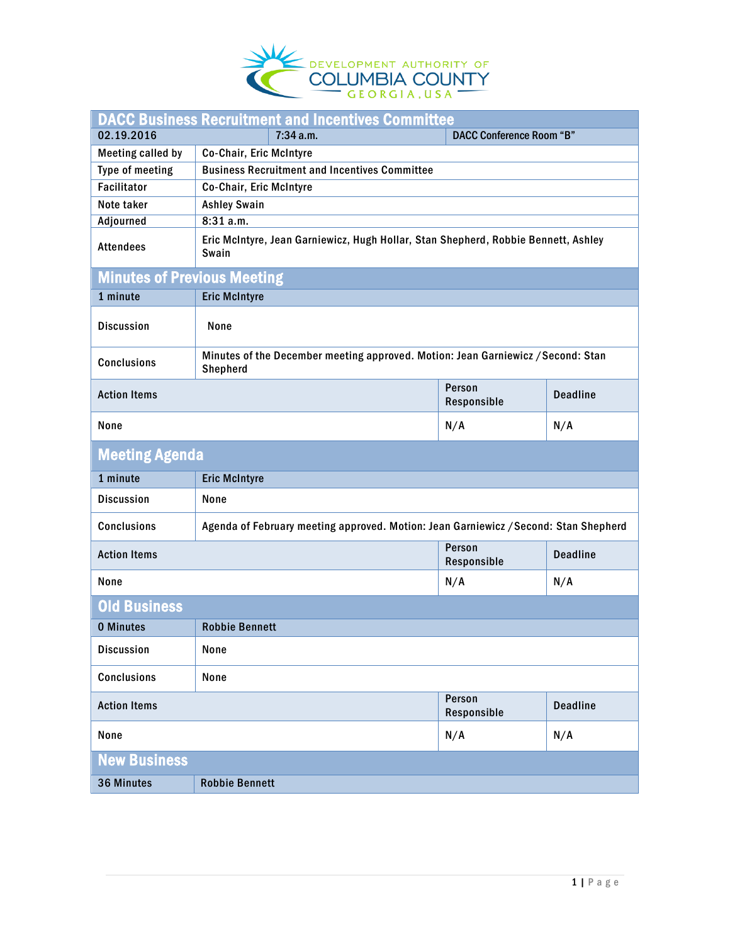

| <b>DACC Business Recruitment and Incentives Committee</b> |                                                                                              |                                 |                 |  |  |
|-----------------------------------------------------------|----------------------------------------------------------------------------------------------|---------------------------------|-----------------|--|--|
| 02.19.2016                                                | 7:34 a.m.                                                                                    | <b>DACC Conference Room "B"</b> |                 |  |  |
| <b>Meeting called by</b>                                  | Co-Chair, Eric McIntyre                                                                      |                                 |                 |  |  |
| Type of meeting                                           | <b>Business Recruitment and Incentives Committee</b>                                         |                                 |                 |  |  |
| <b>Facilitator</b>                                        | Co-Chair, Eric McIntyre                                                                      |                                 |                 |  |  |
| Note taker                                                | <b>Ashley Swain</b>                                                                          |                                 |                 |  |  |
| <b>Adjourned</b>                                          | 8:31 a.m.                                                                                    |                                 |                 |  |  |
| <b>Attendees</b>                                          | Eric McIntyre, Jean Garniewicz, Hugh Hollar, Stan Shepherd, Robbie Bennett, Ashley<br>Swain  |                                 |                 |  |  |
| <b>Minutes of Previous Meeting</b>                        |                                                                                              |                                 |                 |  |  |
| 1 minute                                                  | <b>Eric McIntyre</b>                                                                         |                                 |                 |  |  |
| <b>Discussion</b>                                         | None                                                                                         |                                 |                 |  |  |
| <b>Conclusions</b>                                        | Minutes of the December meeting approved. Motion: Jean Garniewicz / Second: Stan<br>Shepherd |                                 |                 |  |  |
| <b>Action Items</b>                                       |                                                                                              | Person<br>Responsible           | <b>Deadline</b> |  |  |
| None                                                      |                                                                                              | N/A                             | N/A             |  |  |
| <b>Meeting Agenda</b>                                     |                                                                                              |                                 |                 |  |  |
| 1 minute                                                  | <b>Eric McIntyre</b>                                                                         |                                 |                 |  |  |
| <b>Discussion</b>                                         | None                                                                                         |                                 |                 |  |  |
| <b>Conclusions</b>                                        | Agenda of February meeting approved. Motion: Jean Garniewicz / Second: Stan Shepherd         |                                 |                 |  |  |
| <b>Action Items</b>                                       |                                                                                              | Person<br>Responsible           | <b>Deadline</b> |  |  |
| None                                                      |                                                                                              | N/A                             | N/A             |  |  |
| <b>Old Business</b>                                       |                                                                                              |                                 |                 |  |  |
| <b>0 Minutes</b>                                          | <b>Robbie Bennett</b>                                                                        |                                 |                 |  |  |
| <b>Discussion</b>                                         | None                                                                                         |                                 |                 |  |  |
| <b>Conclusions</b>                                        | None                                                                                         |                                 |                 |  |  |
| <b>Action Items</b>                                       |                                                                                              | Person<br>Responsible           | <b>Deadline</b> |  |  |
| None                                                      |                                                                                              | N/A                             | N/A             |  |  |
| <b>New Business</b>                                       |                                                                                              |                                 |                 |  |  |
| 36 Minutes                                                | <b>Robbie Bennett</b>                                                                        |                                 |                 |  |  |